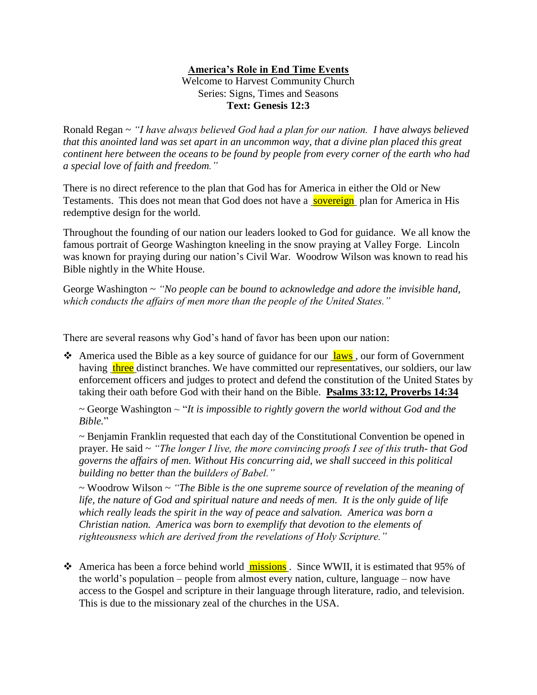## **America's Role in End Time Events**

Welcome to Harvest Community Church Series: Signs, Times and Seasons **Text: Genesis 12:3**

Ronald Regan ~ *"I have always believed God had a plan for our nation. I have always believed that this anointed land was set apart in an uncommon way, that a divine plan placed this great continent here between the oceans to be found by people from every corner of the earth who had a special love of faith and freedom."*

There is no direct reference to the plan that God has for America in either the Old or New Testaments. This does not mean that God does not have a sovereign plan for America in His redemptive design for the world.

Throughout the founding of our nation our leaders looked to God for guidance. We all know the famous portrait of George Washington kneeling in the snow praying at Valley Forge. Lincoln was known for praying during our nation's Civil War. Woodrow Wilson was known to read his Bible nightly in the White House.

George Washington ~ *"No people can be bound to acknowledge and adore the invisible hand, which conducts the affairs of men more than the people of the United States."*

There are several reasons why God's hand of favor has been upon our nation:

America used the Bible as a key source of guidance for our  $\frac{law}{s}$ , our form of Government having three distinct branches. We have committed our representatives, our soldiers, our law enforcement officers and judges to protect and defend the constitution of the United States by taking their oath before God with their hand on the Bible. **Psalms 33:12, Proverbs 14:34**

~ George Washington ~ "*It is impossible to rightly govern the world without God and the Bible.*"

 $\sim$  Benjamin Franklin requested that each day of the Constitutional Convention be opened in prayer. He said ~ *"The longer I live, the more convincing proofs I see of this truth- that God governs the affairs of men. Without His concurring aid, we shall succeed in this political building no better than the builders of Babel."*

~ Woodrow Wilson ~ *"The Bible is the one supreme source of revelation of the meaning of life, the nature of God and spiritual nature and needs of men. It is the only guide of life which really leads the spirit in the way of peace and salvation. America was born a Christian nation. America was born to exemplify that devotion to the elements of righteousness which are derived from the revelations of Holy Scripture."*

America has been a force behind world missions. Since WWII, it is estimated that 95% of the world's population – people from almost every nation, culture, language – now have access to the Gospel and scripture in their language through literature, radio, and television. This is due to the missionary zeal of the churches in the USA.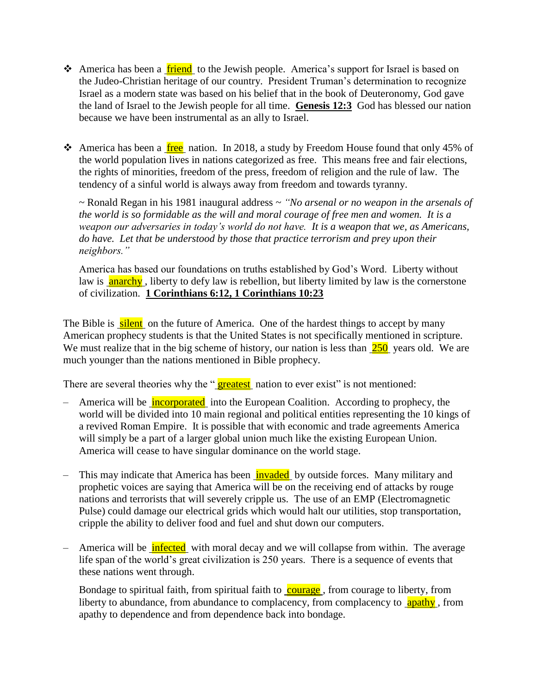- America has been a friend to the Jewish people. America's support for Israel is based on the Judeo-Christian heritage of our country. President Truman's determination to recognize Israel as a modern state was based on his belief that in the book of Deuteronomy, God gave the land of Israel to the Jewish people for all time. **Genesis 12:3** God has blessed our nation because we have been instrumental as an ally to Israel.
- America has been a  $frac{free}{free}$  nation. In 2018, a study by Freedom House found that only 45% of the world population lives in nations categorized as free. This means free and fair elections, the rights of minorities, freedom of the press, freedom of religion and the rule of law. The tendency of a sinful world is always away from freedom and towards tyranny.

~ Ronald Regan in his 1981 inaugural address ~ *"No arsenal or no weapon in the arsenals of the world is so formidable as the will and moral courage of free men and women. It is a weapon our adversaries in today's world do not have. It is a weapon that we, as Americans, do have. Let that be understood by those that practice terrorism and prey upon their neighbors."*

America has based our foundations on truths established by God's Word. Liberty without law is **anarchy**, liberty to defy law is rebellion, but liberty limited by law is the cornerstone of civilization. **1 Corinthians 6:12, 1 Corinthians 10:23**

The Bible is silent on the future of America. One of the hardest things to accept by many American prophecy students is that the United States is not specifically mentioned in scripture. We must realize that in the big scheme of history, our nation is less than  $250$  years old. We are much younger than the nations mentioned in Bible prophecy.

There are several theories why the " $\frac{greatest}{greatest}$  nation to ever exist" is not mentioned:

- America will be *incorporated* into the European Coalition. According to prophecy, the world will be divided into 10 main regional and political entities representing the 10 kings of a revived Roman Empire. It is possible that with economic and trade agreements America will simply be a part of a larger global union much like the existing European Union. America will cease to have singular dominance on the world stage.
- This may indicate that America has been **invaded** by outside forces. Many military and prophetic voices are saying that America will be on the receiving end of attacks by rouge nations and terrorists that will severely cripple us. The use of an EMP (Electromagnetic Pulse) could damage our electrical grids which would halt our utilities, stop transportation, cripple the ability to deliver food and fuel and shut down our computers.
- America will be **infected** with moral decay and we will collapse from within. The average life span of the world's great civilization is 250 years. There is a sequence of events that these nations went through.

Bondage to spiritual faith, from spiritual faith to courage, from courage to liberty, from liberty to abundance, from abundance to complacency, from complacency to **apathy**, from apathy to dependence and from dependence back into bondage.